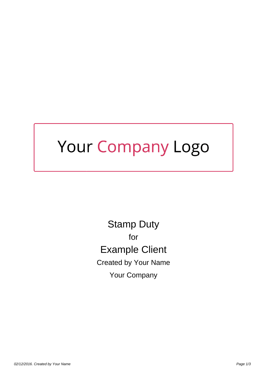## Your Company Logo

Stamp Duty for Example Client Created by Your Name Your Company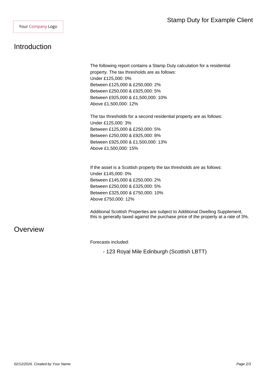## Introduction

The following report contains a Stamp Duty calculation for a residential property. The tax thresholds are as follows: Under £125,000: 0% Between £125,000 & £250,000: 2% Between £250,000 & £925,000: 5% Between £925,000 & £1,500,000: 10% Above £1,500,000: 12%

The tax thresholds for a second residential property are as follows: Under £125,000: 3% Between £125,000 & £250,000: 5% Between £250,000 & £925,000: 8% Between £925,000 & £1,500,000: 13% Above £1,500,000: 15%

If the asset is a Scottish property the tax thresholds are as follows: Under £145,000: 0% Between £145,000 & £250,000: 2% Between £250,000 & £325,000: 5% Between £325,000 & £750,000: 10% Above £750,000: 12%

Additional Scottish Properties are subject to Additional Dwelling Supplement, this is generally taxed against the purchase price of the property at a rate of 3%.

## **Overview**

Forecasts included:

- 123 Royal Mile Edinburgh (Scottish LBTT)